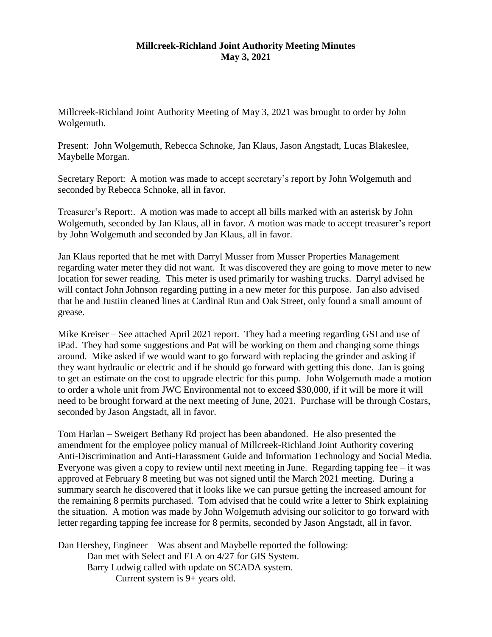## **Millcreek-Richland Joint Authority Meeting Minutes May 3, 2021**

Millcreek-Richland Joint Authority Meeting of May 3, 2021 was brought to order by John Wolgemuth.

Present: John Wolgemuth, Rebecca Schnoke, Jan Klaus, Jason Angstadt, Lucas Blakeslee, Maybelle Morgan.

Secretary Report: A motion was made to accept secretary's report by John Wolgemuth and seconded by Rebecca Schnoke, all in favor.

Treasurer's Report:. A motion was made to accept all bills marked with an asterisk by John Wolgemuth, seconded by Jan Klaus, all in favor. A motion was made to accept treasurer's report by John Wolgemuth and seconded by Jan Klaus, all in favor.

Jan Klaus reported that he met with Darryl Musser from Musser Properties Management regarding water meter they did not want. It was discovered they are going to move meter to new location for sewer reading. This meter is used primarily for washing trucks. Darryl advised he will contact John Johnson regarding putting in a new meter for this purpose. Jan also advised that he and Justiin cleaned lines at Cardinal Run and Oak Street, only found a small amount of grease.

Mike Kreiser – See attached April 2021 report. They had a meeting regarding GSI and use of iPad. They had some suggestions and Pat will be working on them and changing some things around. Mike asked if we would want to go forward with replacing the grinder and asking if they want hydraulic or electric and if he should go forward with getting this done. Jan is going to get an estimate on the cost to upgrade electric for this pump. John Wolgemuth made a motion to order a whole unit from JWC Environmental not to exceed \$30,000, if it will be more it will need to be brought forward at the next meeting of June, 2021. Purchase will be through Costars, seconded by Jason Angstadt, all in favor.

Tom Harlan – Sweigert Bethany Rd project has been abandoned. He also presented the amendment for the employee policy manual of Millcreek-Richland Joint Authority covering Anti-Discrimination and Anti-Harassment Guide and Information Technology and Social Media. Everyone was given a copy to review until next meeting in June. Regarding tapping fee  $-$  it was approved at February 8 meeting but was not signed until the March 2021 meeting. During a summary search he discovered that it looks like we can pursue getting the increased amount for the remaining 8 permits purchased. Tom advised that he could write a letter to Shirk explaining the situation. A motion was made by John Wolgemuth advising our solicitor to go forward with letter regarding tapping fee increase for 8 permits, seconded by Jason Angstadt, all in favor.

Dan Hershey, Engineer – Was absent and Maybelle reported the following: Dan met with Select and ELA on 4/27 for GIS System. Barry Ludwig called with update on SCADA system. Current system is 9+ years old.